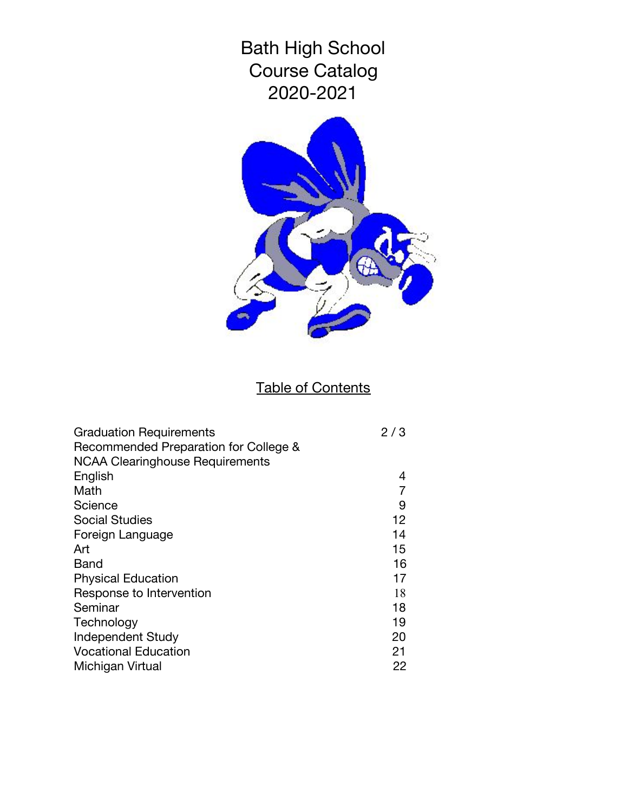

# Table of Contents

| <b>Graduation Requirements</b>         | 2/3 |
|----------------------------------------|-----|
| Recommended Preparation for College &  |     |
| <b>NCAA Clearinghouse Requirements</b> |     |
| English                                | 4   |
| Math                                   |     |
| Science                                | 9   |
| <b>Social Studies</b>                  | 12  |
| Foreign Language                       | 14  |
| Art                                    | 15  |
| Band                                   | 16  |
| <b>Physical Education</b>              | 17  |
| Response to Intervention               | 18  |
| Seminar                                | 18  |
| Technology                             | 19  |
| <b>Independent Study</b>               | 20  |
| <b>Vocational Education</b>            | 21  |
| Michigan Virtual                       | 22  |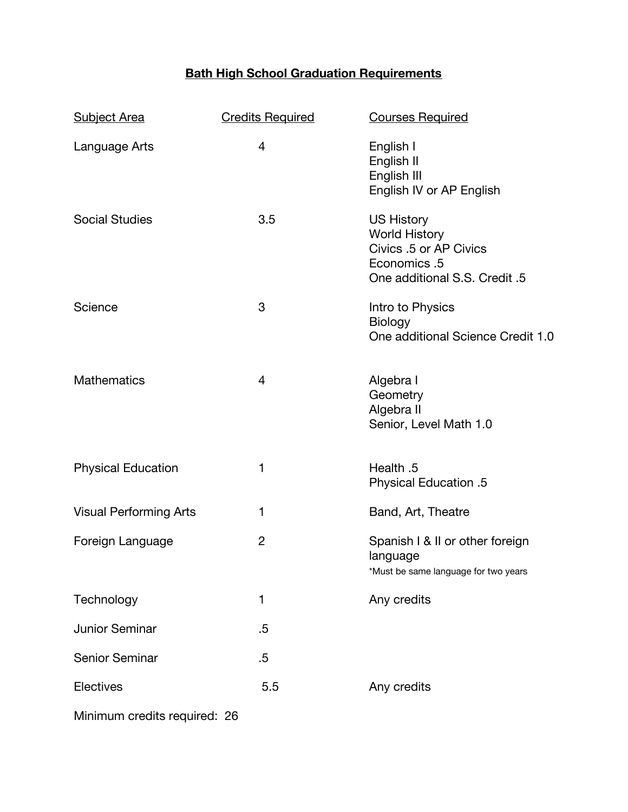# **Bath High School Graduation Requirements**

| <b>Subject Area</b>           | <b>Credits Required</b> | <b>Courses Required</b>                                                                                              |
|-------------------------------|-------------------------|----------------------------------------------------------------------------------------------------------------------|
| Language Arts                 | $\overline{4}$          | English I<br>English II<br>English III<br>English IV or AP English                                                   |
| <b>Social Studies</b>         | 3.5                     | <b>US History</b><br><b>World History</b><br>Civics .5 or AP Civics<br>Economics .5<br>One additional S.S. Credit .5 |
| Science                       | 3                       | Intro to Physics<br>Biology<br>One additional Science Credit 1.0                                                     |
| <b>Mathematics</b>            | $\overline{4}$          | Algebra I<br>Geometry<br>Algebra II<br>Senior, Level Math 1.0                                                        |
| <b>Physical Education</b>     | 1                       | Health .5<br><b>Physical Education .5</b>                                                                            |
| <b>Visual Performing Arts</b> | 1                       | Band, Art, Theatre                                                                                                   |
| Foreign Language              | $\overline{2}$          | Spanish I & II or other foreign<br>language<br>*Must be same language for two years                                  |
| Technology                    | 1                       | Any credits                                                                                                          |
| <b>Junior Seminar</b>         | .5                      |                                                                                                                      |
| Senior Seminar                | $.5\,$                  |                                                                                                                      |
| Electives                     | 5.5                     | Any credits                                                                                                          |
| Minimum credits required: 26  |                         |                                                                                                                      |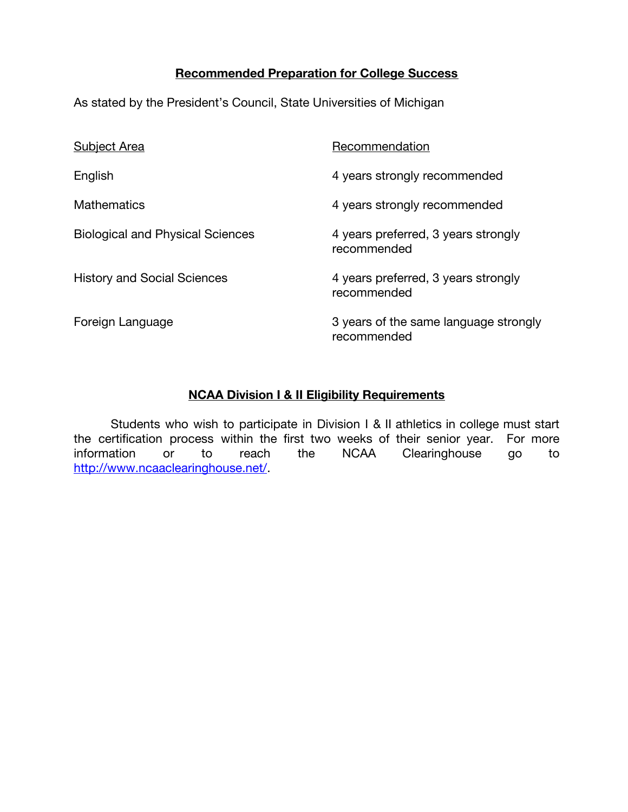#### **Recommended Preparation for College Success**

As stated by the President's Council, State Universities of Michigan

| <b>Subject Area</b>                     | Recommendation                                       |
|-----------------------------------------|------------------------------------------------------|
| English                                 | 4 years strongly recommended                         |
| <b>Mathematics</b>                      | 4 years strongly recommended                         |
| <b>Biological and Physical Sciences</b> | 4 years preferred, 3 years strongly<br>recommended   |
| <b>History and Social Sciences</b>      | 4 years preferred, 3 years strongly<br>recommended   |
| Foreign Language                        | 3 years of the same language strongly<br>recommended |

#### **NCAA Division I & II Eligibility Requirements**

Students who wish to participate in Division I & II athletics in college must start the certification process within the first two weeks of their senior year. For more information or to reach the NCAA Clearinghouse go to <http://www.ncaaclearinghouse.net/>.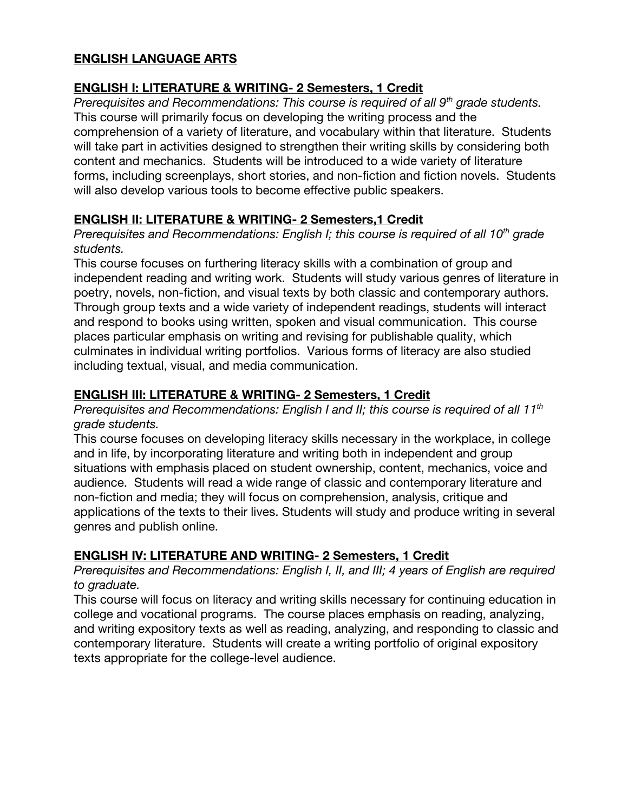# **ENGLISH LANGUAGE ARTS**

# **ENGLISH I: LITERATURE & WRITING- 2 Semesters, 1 Credit**

*Prerequisites and Recommendations: This course is required of all 9th grade students.* This course will primarily focus on developing the writing process and the comprehension of a variety of literature, and vocabulary within that literature. Students will take part in activities designed to strengthen their writing skills by considering both content and mechanics. Students will be introduced to a wide variety of literature forms, including screenplays, short stories, and non-fiction and fiction novels. Students will also develop various tools to become effective public speakers.

# **ENGLISH II: LITERATURE & WRITING- 2 Semesters,1 Credit**

*Prerequisites and Recommendations: English I; this course is required of all 10th grade students.*

This course focuses on furthering literacy skills with a combination of group and independent reading and writing work. Students will study various genres of literature in poetry, novels, non-fiction, and visual texts by both classic and contemporary authors. Through group texts and a wide variety of independent readings, students will interact and respond to books using written, spoken and visual communication. This course places particular emphasis on writing and revising for publishable quality, which culminates in individual writing portfolios. Various forms of literacy are also studied including textual, visual, and media communication.

# **ENGLISH III: LITERATURE & WRITING- 2 Semesters, 1 Credit**

*Prerequisites and Recommendations: English I and II; this course is required of all 11th grade students.*

This course focuses on developing literacy skills necessary in the workplace, in college and in life, by incorporating literature and writing both in independent and group situations with emphasis placed on student ownership, content, mechanics, voice and audience. Students will read a wide range of classic and contemporary literature and non-fiction and media; they will focus on comprehension, analysis, critique and applications of the texts to their lives. Students will study and produce writing in several genres and publish online.

# **ENGLISH IV: LITERATURE AND WRITING- 2 Semesters, 1 Credit**

*Prerequisites and Recommendations: English I, II, and III; 4 years of English are required to graduate.*

This course will focus on literacy and writing skills necessary for continuing education in college and vocational programs. The course places emphasis on reading, analyzing, and writing expository texts as well as reading, analyzing, and responding to classic and contemporary literature. Students will create a writing portfolio of original expository texts appropriate for the college-level audience.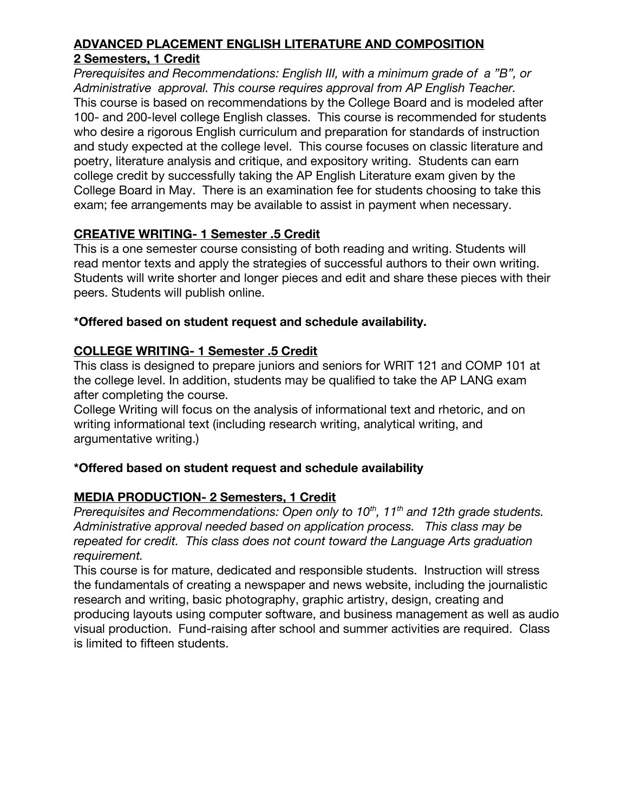# **ADVANCED PLACEMENT ENGLISH LITERATURE AND COMPOSITION 2 Semesters, 1 Credit**

*Prerequisites and Recommendations: English III, with a minimum grade of a "B", or Administrative approval. This course requires approval from AP English Teacher.* This course is based on recommendations by the College Board and is modeled after 100- and 200-level college English classes. This course is recommended for students who desire a rigorous English curriculum and preparation for standards of instruction and study expected at the college level. This course focuses on classic literature and poetry, literature analysis and critique, and expository writing. Students can earn college credit by successfully taking the AP English Literature exam given by the College Board in May. There is an examination fee for students choosing to take this exam; fee arrangements may be available to assist in payment when necessary.

# **CREATIVE WRITING- 1 Semester .5 Credit**

This is a one semester course consisting of both reading and writing. Students will read mentor texts and apply the strategies of successful authors to their own writing. Students will write shorter and longer pieces and edit and share these pieces with their peers. Students will publish online.

# **\*Offered based on student request and schedule availability.**

# **COLLEGE WRITING- 1 Semester .5 Credit**

This class is designed to prepare juniors and seniors for WRIT 121 and COMP 101 at the college level. In addition, students may be qualified to take the AP LANG exam after completing the course.

College Writing will focus on the analysis of informational text and rhetoric, and on writing informational text (including research writing, analytical writing, and argumentative writing.)

# **\*Offered based on student request and schedule availability**

# **MEDIA PRODUCTION- 2 Semesters, 1 Credit**

*Prerequisites and Recommendations: Open only to 10th , 11th and 12th grade students. Administrative approval needed based on application process. This class may be repeated for credit. This class does not count toward the Language Arts graduation requirement.*

This course is for mature, dedicated and responsible students. Instruction will stress the fundamentals of creating a newspaper and news website, including the journalistic research and writing, basic photography, graphic artistry, design, creating and producing layouts using computer software, and business management as well as audio visual production. Fund-raising after school and summer activities are required. Class is limited to fifteen students.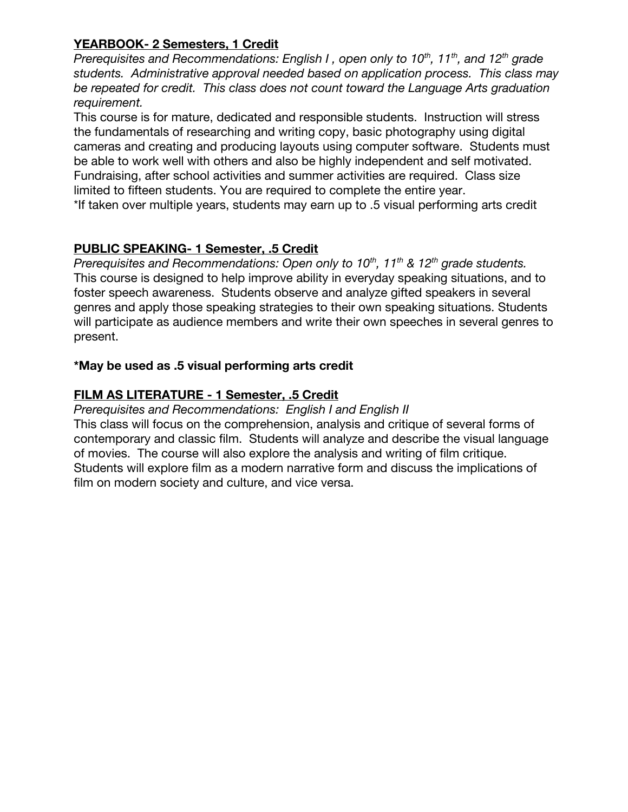# **YEARBOOK- 2 Semesters, 1 Credit**

*Prerequisites and Recommendations: English I , open only to 10th , 11th , and 12th grade students. Administrative approval needed based on application process. This class may be repeated for credit. This class does not count toward the Language Arts graduation requirement.*

This course is for mature, dedicated and responsible students. Instruction will stress the fundamentals of researching and writing copy, basic photography using digital cameras and creating and producing layouts using computer software. Students must be able to work well with others and also be highly independent and self motivated. Fundraising, after school activities and summer activities are required. Class size limited to fifteen students. You are required to complete the entire year.

\*If taken over multiple years, students may earn up to .5 visual performing arts credit

# **PUBLIC SPEAKING- 1 Semester, .5 Credit**

*Prerequisites and Recommendations: Open only to 10th , 11th & 12th grade students.* This course is designed to help improve ability in everyday speaking situations, and to foster speech awareness. Students observe and analyze gifted speakers in several genres and apply those speaking strategies to their own speaking situations. Students will participate as audience members and write their own speeches in several genres to present.

# **\*May be used as .5 visual performing arts credit**

# **FILM AS LITERATURE - 1 Semester, .5 Credit**

#### *Prerequisites and Recommendations: English I and English II*

This class will focus on the comprehension, analysis and critique of several forms of contemporary and classic film. Students will analyze and describe the visual language of movies. The course will also explore the analysis and writing of film critique. Students will explore film as a modern narrative form and discuss the implications of film on modern society and culture, and vice versa.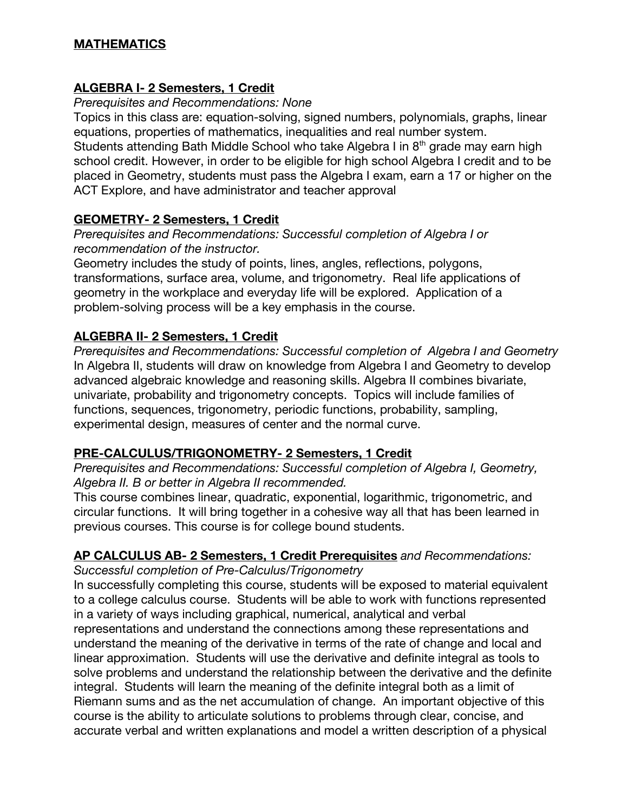# **MATHEMATICS**

# **ALGEBRA I- 2 Semesters, 1 Credit**

#### *Prerequisites and Recommendations: None*

Topics in this class are: equation-solving, signed numbers, polynomials, graphs, linear equations, properties of mathematics, inequalities and real number system.

Students attending Bath Middle School who take Algebra I in 8<sup>th</sup> grade may earn high school credit. However, in order to be eligible for high school Algebra I credit and to be placed in Geometry, students must pass the Algebra I exam, earn a 17 or higher on the ACT Explore, and have administrator and teacher approval

#### **GEOMETRY- 2 Semesters, 1 Credit**

*Prerequisites and Recommendations: Successful completion of Algebra I or recommendation of the instructor.*

Geometry includes the study of points, lines, angles, reflections, polygons, transformations, surface area, volume, and trigonometry. Real life applications of geometry in the workplace and everyday life will be explored. Application of a problem-solving process will be a key emphasis in the course.

# **ALGEBRA II- 2 Semesters, 1 Credit**

*Prerequisites and Recommendations: Successful completion of Algebra I and Geometry* In Algebra II, students will draw on knowledge from Algebra I and Geometry to develop advanced algebraic knowledge and reasoning skills. Algebra II combines bivariate, univariate, probability and trigonometry concepts. Topics will include families of functions, sequences, trigonometry, periodic functions, probability, sampling, experimental design, measures of center and the normal curve.

# **PRE-CALCULUS/TRIGONOMETRY- 2 Semesters, 1 Credit**

*Prerequisites and Recommendations: Successful completion of Algebra I, Geometry, Algebra II. B or better in Algebra II recommended.*

This course combines linear, quadratic, exponential, logarithmic, trigonometric, and circular functions. It will bring together in a cohesive way all that has been learned in previous courses. This course is for college bound students.

# **AP CALCULUS AB- 2 Semesters, 1 Credit Prerequisites** *and Recommendations:*

*Successful completion of Pre-Calculus/Trigonometry*

In successfully completing this course, students will be exposed to material equivalent to a college calculus course. Students will be able to work with functions represented in a variety of ways including graphical, numerical, analytical and verbal representations and understand the connections among these representations and understand the meaning of the derivative in terms of the rate of change and local and linear approximation. Students will use the derivative and definite integral as tools to solve problems and understand the relationship between the derivative and the definite integral. Students will learn the meaning of the definite integral both as a limit of Riemann sums and as the net accumulation of change. An important objective of this course is the ability to articulate solutions to problems through clear, concise, and accurate verbal and written explanations and model a written description of a physical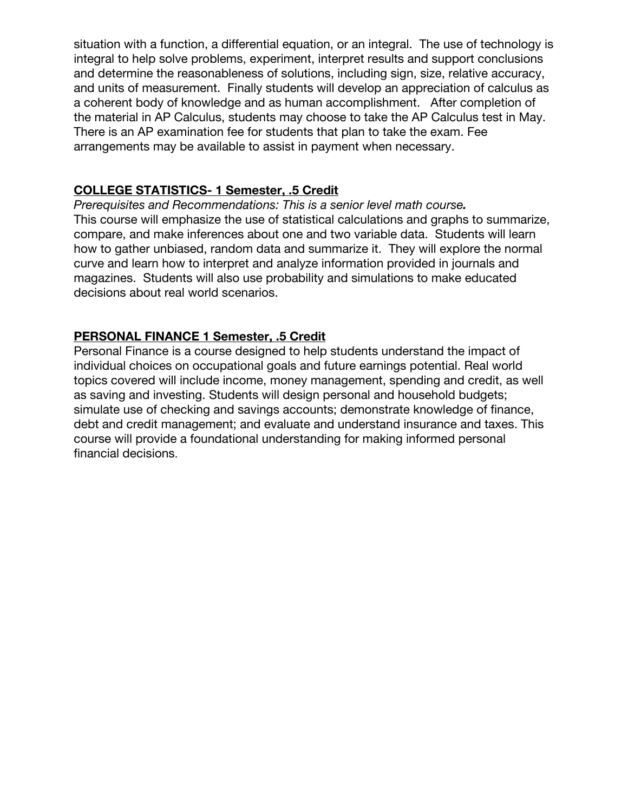situation with a function, a differential equation, or an integral. The use of technology is integral to help solve problems, experiment, interpret results and support conclusions and determine the reasonableness of solutions, including sign, size, relative accuracy, and units of measurement. Finally students will develop an appreciation of calculus as a coherent body of knowledge and as human accomplishment. After completion of the material in AP Calculus, students may choose to take the AP Calculus test in May. There is an AP examination fee for students that plan to take the exam. Fee arrangements may be available to assist in payment when necessary.

# **COLLEGE STATISTICS- 1 Semester, .5 Credit**

*Prerequisites and Recommendations: This is a senior level math course.* This course will emphasize the use of statistical calculations and graphs to summarize, compare, and make inferences about one and two variable data. Students will learn how to gather unbiased, random data and summarize it. They will explore the normal curve and learn how to interpret and analyze information provided in journals and magazines. Students will also use probability and simulations to make educated decisions about real world scenarios.

# **PERSONAL FINANCE 1 Semester, .5 Credit**

Personal Finance is a course designed to help students understand the impact of individual choices on occupational goals and future earnings potential. Real world topics covered will include income, money management, spending and credit, as well as saving and investing. Students will design personal and household budgets; simulate use of checking and savings accounts; demonstrate knowledge of finance, debt and credit management; and evaluate and understand insurance and taxes. This course will provide a foundational understanding for making informed personal financial decisions.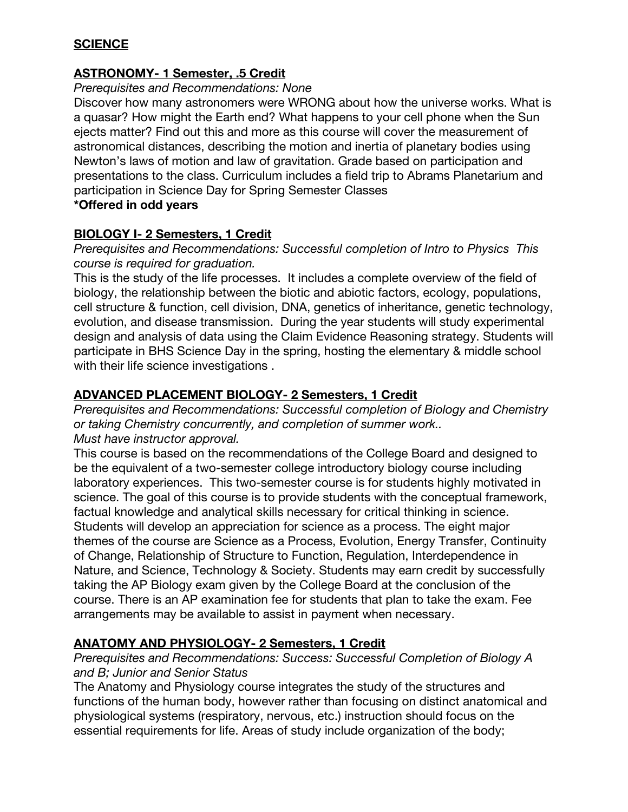# **SCIENCE**

# **ASTRONOMY- 1 Semester, .5 Credit**

#### *Prerequisites and Recommendations: None*

Discover how many astronomers were WRONG about how the universe works. What is a quasar? How might the Earth end? What happens to your cell phone when the Sun ejects matter? Find out this and more as this course will cover the measurement of astronomical distances, describing the motion and inertia of planetary bodies using Newton's laws of motion and law of gravitation. Grade based on participation and presentations to the class. Curriculum includes a field trip to Abrams Planetarium and participation in Science Day for Spring Semester Classes **\*Offered in odd years**

# **BIOLOGY I- 2 Semesters, 1 Credit**

*Prerequisites and Recommendations: Successful completion of Intro to Physics This course is required for graduation.*

This is the study of the life processes. It includes a complete overview of the field of biology, the relationship between the biotic and abiotic factors, ecology, populations, cell structure & function, cell division, DNA, genetics of inheritance, genetic technology, evolution, and disease transmission. During the year students will study experimental design and analysis of data using the Claim Evidence Reasoning strategy. Students will participate in BHS Science Day in the spring, hosting the elementary & middle school with their life science investigations .

# **ADVANCED PLACEMENT BIOLOGY- 2 Semesters, 1 Credit**

*Prerequisites and Recommendations: Successful completion of Biology and Chemistry or taking Chemistry concurrently, and completion of summer work.. Must have instructor approval.*

This course is based on the recommendations of the College Board and designed to be the equivalent of a two-semester college introductory biology course including laboratory experiences. This two-semester course is for students highly motivated in science. The goal of this course is to provide students with the conceptual framework, factual knowledge and analytical skills necessary for critical thinking in science. Students will develop an appreciation for science as a process. The eight major themes of the course are Science as a Process, Evolution, Energy Transfer, Continuity of Change, Relationship of Structure to Function, Regulation, Interdependence in Nature, and Science, Technology & Society. Students may earn credit by successfully taking the AP Biology exam given by the College Board at the conclusion of the course. There is an AP examination fee for students that plan to take the exam. Fee arrangements may be available to assist in payment when necessary.

# **ANATOMY AND PHYSIOLOGY- 2 Semesters, 1 Credit**

#### *Prerequisites and Recommendations: Success: Successful Completion of Biology A and B; Junior and Senior Status*

The Anatomy and Physiology course integrates the study of the structures and functions of the human body, however rather than focusing on distinct anatomical and physiological systems (respiratory, nervous, etc.) instruction should focus on the essential requirements for life. Areas of study include organization of the body;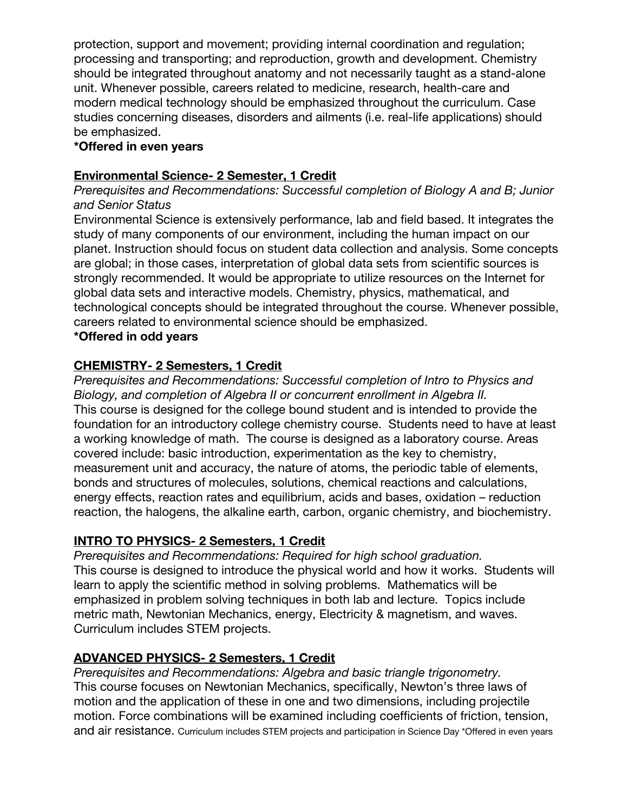protection, support and movement; providing internal coordination and regulation; processing and transporting; and reproduction, growth and development. Chemistry should be integrated throughout anatomy and not necessarily taught as a stand-alone unit. Whenever possible, careers related to medicine, research, health-care and modern medical technology should be emphasized throughout the curriculum. Case studies concerning diseases, disorders and ailments (i.e. real-life applications) should be emphasized.

#### **\*Offered in even years**

### **Environmental Science- 2 Semester, 1 Credit**

#### *Prerequisites and Recommendations: Successful completion of Biology A and B; Junior and Senior Status*

Environmental Science is extensively performance, lab and field based. It integrates the study of many components of our environment, including the human impact on our planet. Instruction should focus on student data collection and analysis. Some concepts are global; in those cases, interpretation of global data sets from scientific sources is strongly recommended. It would be appropriate to utilize resources on the Internet for global data sets and interactive models. Chemistry, physics, mathematical, and technological concepts should be integrated throughout the course. Whenever possible, careers related to environmental science should be emphasized.

#### **\*Offered in odd years**

# **CHEMISTRY- 2 Semesters, 1 Credit**

*Prerequisites and Recommendations: Successful completion of Intro to Physics and Biology, and completion of Algebra II or concurrent enrollment in Algebra II.* This course is designed for the college bound student and is intended to provide the foundation for an introductory college chemistry course. Students need to have at least a working knowledge of math. The course is designed as a laboratory course. Areas covered include: basic introduction, experimentation as the key to chemistry, measurement unit and accuracy, the nature of atoms, the periodic table of elements, bonds and structures of molecules, solutions, chemical reactions and calculations, energy effects, reaction rates and equilibrium, acids and bases, oxidation – reduction reaction, the halogens, the alkaline earth, carbon, organic chemistry, and biochemistry.

#### **INTRO TO PHYSICS- 2 Semesters, 1 Credit**

*Prerequisites and Recommendations: Required for high school graduation.* This course is designed to introduce the physical world and how it works. Students will learn to apply the scientific method in solving problems. Mathematics will be emphasized in problem solving techniques in both lab and lecture. Topics include metric math, Newtonian Mechanics, energy, Electricity & magnetism, and waves. Curriculum includes STEM projects.

# **ADVANCED PHYSICS- 2 Semesters, 1 Credit**

*Prerequisites and Recommendations: Algebra and basic triangle trigonometry.* This course focuses on Newtonian Mechanics, specifically, Newton's three laws of motion and the application of these in one and two dimensions, including projectile motion. Force combinations will be examined including coefficients of friction, tension, and air resistance. Curriculum includes STEM projects and participation in Science Day \*Offered in even years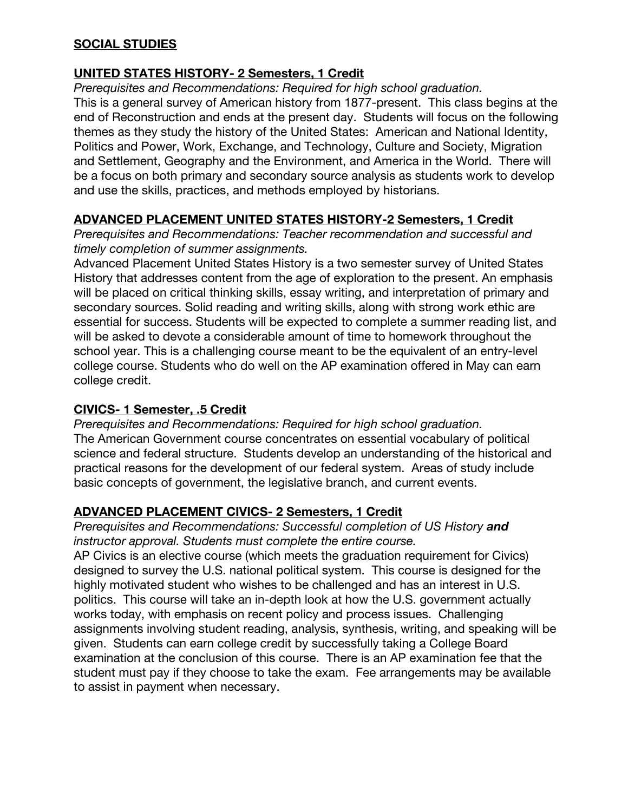# **SOCIAL STUDIES**

# **UNITED STATES HISTORY- 2 Semesters, 1 Credit**

*Prerequisites and Recommendations: Required for high school graduation.*

This is a general survey of American history from 1877-present. This class begins at the end of Reconstruction and ends at the present day. Students will focus on the following themes as they study the history of the United States: American and National Identity, Politics and Power, Work, Exchange, and Technology, Culture and Society, Migration and Settlement, Geography and the Environment, and America in the World. There will be a focus on both primary and secondary source analysis as students work to develop and use the skills, practices, and methods employed by historians.

# **ADVANCED PLACEMENT UNITED STATES HISTORY-2 Semesters, 1 Credit**

*Prerequisites and Recommendations: Teacher recommendation and successful and timely completion of summer assignments.*

Advanced Placement United States History is a two semester survey of United States History that addresses content from the age of exploration to the present. An emphasis will be placed on critical thinking skills, essay writing, and interpretation of primary and secondary sources. Solid reading and writing skills, along with strong work ethic are essential for success. Students will be expected to complete a summer reading list, and will be asked to devote a considerable amount of time to homework throughout the school year. This is a challenging course meant to be the equivalent of an entry-level college course. Students who do well on the AP examination offered in May can earn college credit.

# **CIVICS- 1 Semester, .5 Credit**

*Prerequisites and Recommendations: Required for high school graduation.* The American Government course concentrates on essential vocabulary of political science and federal structure. Students develop an understanding of the historical and practical reasons for the development of our federal system. Areas of study include basic concepts of government, the legislative branch, and current events.

# **ADVANCED PLACEMENT CIVICS- 2 Semesters, 1 Credit**

**Prerequisites and Recommendations: Successful completion of US History and** *instructor approval. Students must complete the entire course.*

AP Civics is an elective course (which meets the graduation requirement for Civics) designed to survey the U.S. national political system. This course is designed for the highly motivated student who wishes to be challenged and has an interest in U.S. politics. This course will take an in-depth look at how the U.S. government actually works today, with emphasis on recent policy and process issues. Challenging assignments involving student reading, analysis, synthesis, writing, and speaking will be given. Students can earn college credit by successfully taking a College Board examination at the conclusion of this course. There is an AP examination fee that the student must pay if they choose to take the exam. Fee arrangements may be available to assist in payment when necessary.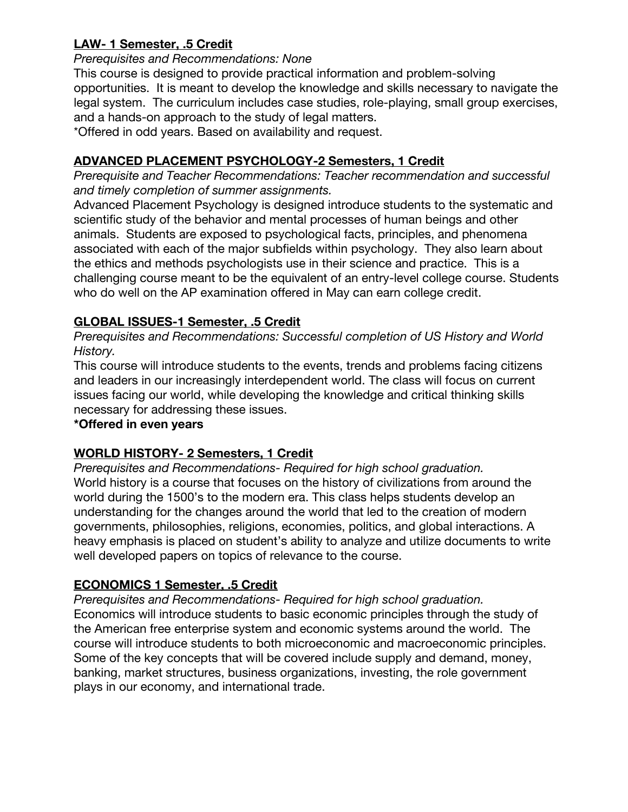# **LAW- 1 Semester, .5 Credit**

#### *Prerequisites and Recommendations: None*

This course is designed to provide practical information and problem-solving opportunities. It is meant to develop the knowledge and skills necessary to navigate the legal system. The curriculum includes case studies, role-playing, small group exercises, and a hands-on approach to the study of legal matters.

\*Offered in odd years. Based on availability and request.

# **ADVANCED PLACEMENT PSYCHOLOGY-2 Semesters, 1 Credit**

*Prerequisite and Teacher Recommendations: Teacher recommendation and successful and timely completion of summer assignments.*

Advanced Placement Psychology is designed introduce students to the systematic and scientific study of the behavior and mental processes of human beings and other animals. Students are exposed to psychological facts, principles, and phenomena associated with each of the major subfields within psychology. They also learn about the ethics and methods psychologists use in their science and practice. This is a challenging course meant to be the equivalent of an entry-level college course. Students who do well on the AP examination offered in May can earn college credit.

# **GLOBAL ISSUES-1 Semester, .5 Credit**

*Prerequisites and Recommendations: Successful completion of US History and World History.*

This course will introduce students to the events, trends and problems facing citizens and leaders in our increasingly interdependent world. The class will focus on current issues facing our world, while developing the knowledge and critical thinking skills necessary for addressing these issues.

# **\*Offered in even years**

# **WORLD HISTORY- 2 Semesters, 1 Credit**

*Prerequisites and Recommendations- Required for high school graduation.* World history is a course that focuses on the history of civilizations from around the world during the 1500's to the modern era. This class helps students develop an understanding for the changes around the world that led to the creation of modern governments, philosophies, religions, economies, politics, and global interactions. A heavy emphasis is placed on student's ability to analyze and utilize documents to write well developed papers on topics of relevance to the course.

# **ECONOMICS 1 Semester, .5 Credit**

*Prerequisites and Recommendations- Required for high school graduation.* Economics will introduce students to basic economic principles through the study of the American free enterprise system and economic systems around the world. The course will introduce students to both microeconomic and macroeconomic principles. Some of the key concepts that will be covered include supply and demand, money, banking, market structures, business organizations, investing, the role government plays in our economy, and international trade.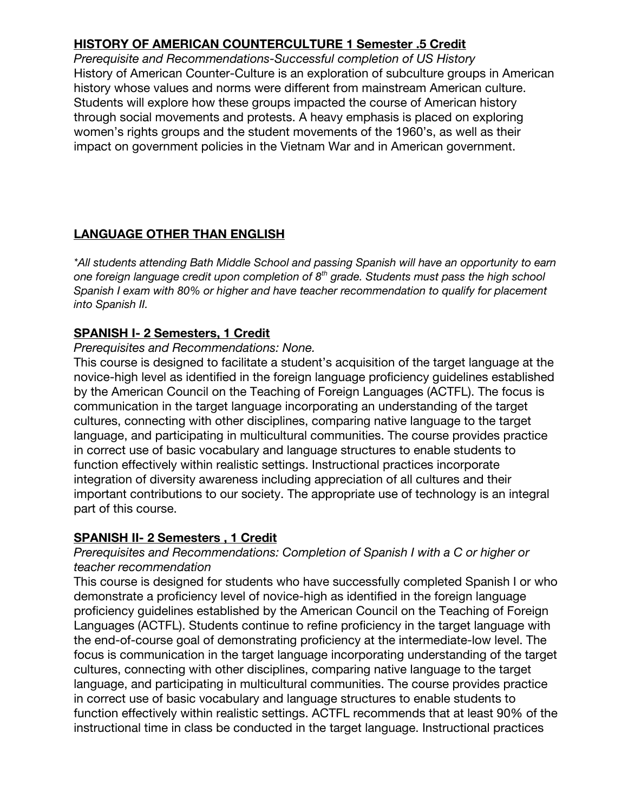# **HISTORY OF AMERICAN COUNTERCULTURE 1 Semester .5 Credit**

*Prerequisite and Recommendations-Successful completion of US History* History of American Counter-Culture is an exploration of subculture groups in American history whose values and norms were different from mainstream American culture. Students will explore how these groups impacted the course of American history through social movements and protests. A heavy emphasis is placed on exploring women's rights groups and the student movements of the 1960's, as well as their impact on government policies in the Vietnam War and in American government.

# **LANGUAGE OTHER THAN ENGLISH**

*\*All students attending Bath Middle School and passing Spanish will have an opportunity to earn one foreign language credit upon completion of 8 th grade. Students must pass the high school Spanish I exam with 80% or higher and have teacher recommendation to qualify for placement into Spanish II.*

# **SPANISH I- 2 Semesters, 1 Credit**

#### *Prerequisites and Recommendations: None.*

This course is designed to facilitate a student's acquisition of the target language at the novice-high level as identified in the foreign language proficiency guidelines established by the American Council on the Teaching of Foreign Languages (ACTFL). The focus is communication in the target language incorporating an understanding of the target cultures, connecting with other disciplines, comparing native language to the target language, and participating in multicultural communities. The course provides practice in correct use of basic vocabulary and language structures to enable students to function effectively within realistic settings. Instructional practices incorporate integration of diversity awareness including appreciation of all cultures and their important contributions to our society. The appropriate use of technology is an integral part of this course.

# **SPANISH II- 2 Semesters , 1 Credit**

#### *Prerequisites and Recommendations: Completion of Spanish I with a C or higher or teacher recommendation*

This course is designed for students who have successfully completed Spanish I or who demonstrate a proficiency level of novice-high as identified in the foreign language proficiency guidelines established by the American Council on the Teaching of Foreign Languages (ACTFL). Students continue to refine proficiency in the target language with the end-of-course goal of demonstrating proficiency at the intermediate-low level. The focus is communication in the target language incorporating understanding of the target cultures, connecting with other disciplines, comparing native language to the target language, and participating in multicultural communities. The course provides practice in correct use of basic vocabulary and language structures to enable students to function effectively within realistic settings. ACTFL recommends that at least 90% of the instructional time in class be conducted in the target language. Instructional practices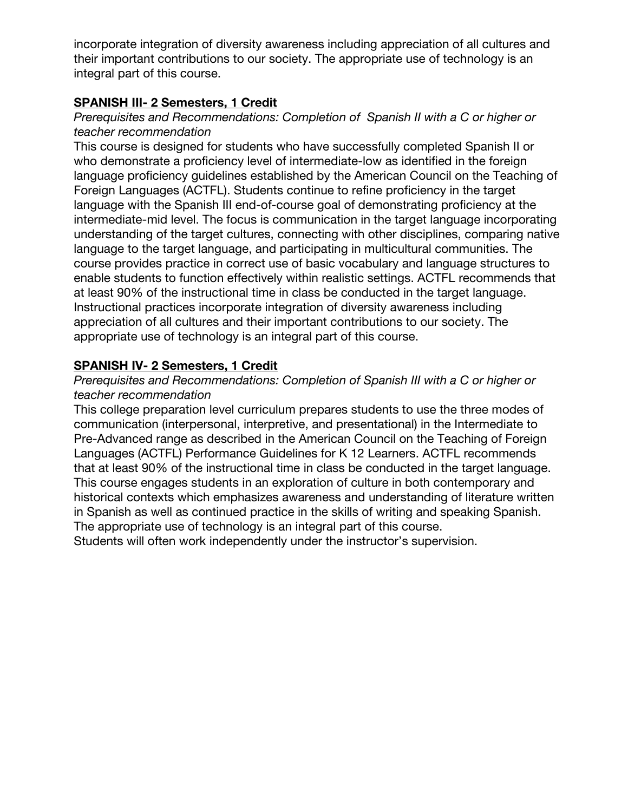incorporate integration of diversity awareness including appreciation of all cultures and their important contributions to our society. The appropriate use of technology is an integral part of this course.

# **SPANISH III- 2 Semesters, 1 Credit**

### *Prerequisites and Recommendations: Completion of Spanish II with a C or higher or teacher recommendation*

This course is designed for students who have successfully completed Spanish II or who demonstrate a proficiency level of intermediate-low as identified in the foreign language proficiency guidelines established by the American Council on the Teaching of Foreign Languages (ACTFL). Students continue to refine proficiency in the target language with the Spanish III end-of-course goal of demonstrating proficiency at the intermediate-mid level. The focus is communication in the target language incorporating understanding of the target cultures, connecting with other disciplines, comparing native language to the target language, and participating in multicultural communities. The course provides practice in correct use of basic vocabulary and language structures to enable students to function effectively within realistic settings. ACTFL recommends that at least 90% of the instructional time in class be conducted in the target language. Instructional practices incorporate integration of diversity awareness including appreciation of all cultures and their important contributions to our society. The appropriate use of technology is an integral part of this course.

# **SPANISH IV- 2 Semesters, 1 Credit**

#### *Prerequisites and Recommendations: Completion of Spanish III with a C or higher or teacher recommendation*

This college preparation level curriculum prepares students to use the three modes of communication (interpersonal, interpretive, and presentational) in the Intermediate to Pre-Advanced range as described in the American Council on the Teaching of Foreign Languages (ACTFL) Performance Guidelines for K 12 Learners. ACTFL recommends that at least 90% of the instructional time in class be conducted in the target language. This course engages students in an exploration of culture in both contemporary and historical contexts which emphasizes awareness and understanding of literature written in Spanish as well as continued practice in the skills of writing and speaking Spanish. The appropriate use of technology is an integral part of this course.

Students will often work independently under the instructor's supervision.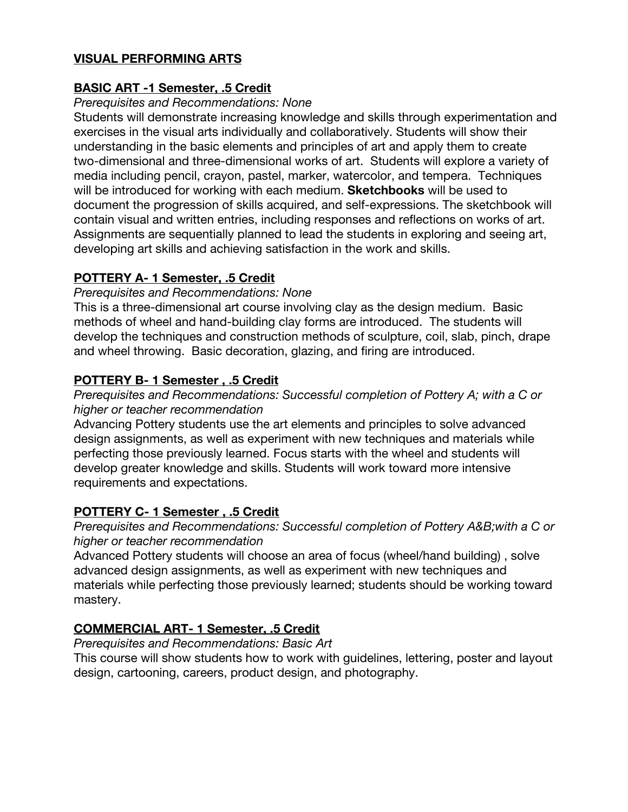# **VISUAL PERFORMING ARTS**

# **BASIC ART -1 Semester, .5 Credit**

#### *Prerequisites and Recommendations: None*

Students will demonstrate increasing knowledge and skills through experimentation and exercises in the visual arts individually and collaboratively. Students will show their understanding in the basic elements and principles of art and apply them to create two-dimensional and three-dimensional works of art. Students will explore a variety of media including pencil, crayon, pastel, marker, watercolor, and tempera. Techniques will be introduced for working with each medium. **Sketchbooks** will be used to document the progression of skills acquired, and self-expressions. The sketchbook will contain visual and written entries, including responses and reflections on works of art. Assignments are sequentially planned to lead the students in exploring and seeing art, developing art skills and achieving satisfaction in the work and skills.

#### **POTTERY A- 1 Semester, .5 Credit**

#### *Prerequisites and Recommendations: None*

This is a three-dimensional art course involving clay as the design medium. Basic methods of wheel and hand-building clay forms are introduced. The students will develop the techniques and construction methods of sculpture, coil, slab, pinch, drape and wheel throwing. Basic decoration, glazing, and firing are introduced.

#### **POTTERY B- 1 Semester , .5 Credit**

#### *Prerequisites and Recommendations: Successful completion of Pottery A; with a C or higher or teacher recommendation*

Advancing Pottery students use the art elements and principles to solve advanced design assignments, as well as experiment with new techniques and materials while perfecting those previously learned. Focus starts with the wheel and students will develop greater knowledge and skills. Students will work toward more intensive requirements and expectations.

# **POTTERY C- 1 Semester , .5 Credit**

#### *Prerequisites and Recommendations: Successful completion of Pottery A&B;with a C or higher or teacher recommendation*

Advanced Pottery students will choose an area of focus (wheel/hand building) , solve advanced design assignments, as well as experiment with new techniques and materials while perfecting those previously learned; students should be working toward mastery.

# **COMMERCIAL ART- 1 Semester, .5 Credit**

*Prerequisites and Recommendations: Basic Art*

This course will show students how to work with guidelines, lettering, poster and layout design, cartooning, careers, product design, and photography.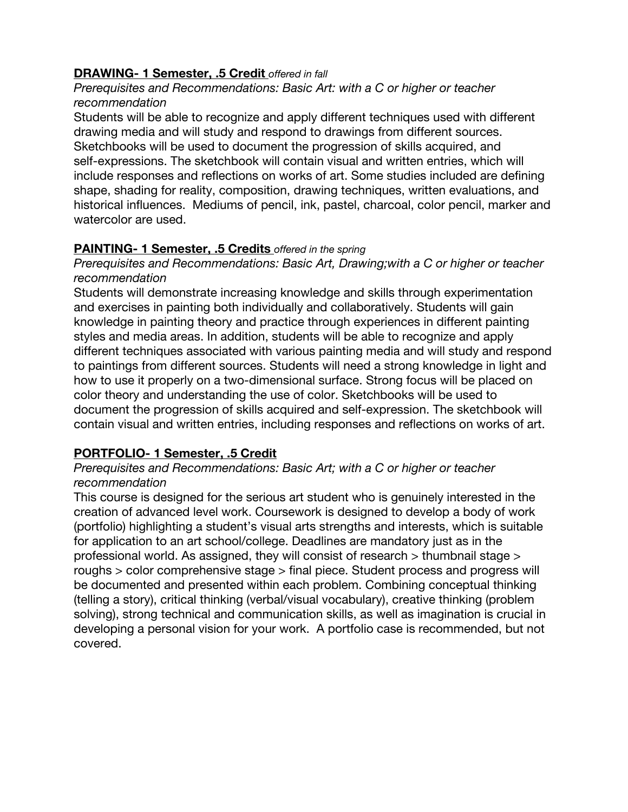# **DRAWING- 1 Semester, .5 Credit** *offered in fall*

#### *Prerequisites and Recommendations: Basic Art: with a C or higher or teacher recommendation*

Students will be able to recognize and apply different techniques used with different drawing media and will study and respond to drawings from different sources. Sketchbooks will be used to document the progression of skills acquired, and self-expressions. The sketchbook will contain visual and written entries, which will include responses and reflections on works of art. Some studies included are defining shape, shading for reality, composition, drawing techniques, written evaluations, and historical influences. Mediums of pencil, ink, pastel, charcoal, color pencil, marker and watercolor are used.

# **PAINTING- 1 Semester, .5 Credits** *offered in the spring*

#### *Prerequisites and Recommendations: Basic Art, Drawing;with a C or higher or teacher recommendation*

Students will demonstrate increasing knowledge and skills through experimentation and exercises in painting both individually and collaboratively. Students will gain knowledge in painting theory and practice through experiences in different painting styles and media areas. In addition, students will be able to recognize and apply different techniques associated with various painting media and will study and respond to paintings from different sources. Students will need a strong knowledge in light and how to use it properly on a two-dimensional surface. Strong focus will be placed on color theory and understanding the use of color. Sketchbooks will be used to document the progression of skills acquired and self‐expression. The sketchbook will contain visual and written entries, including responses and reflections on works of art.

# **PORTFOLIO- 1 Semester, .5 Credit**

#### *Prerequisites and Recommendations: Basic Art; with a C or higher or teacher recommendation*

This course is designed for the serious art student who is genuinely interested in the creation of advanced level work. Coursework is designed to develop a body of work (portfolio) highlighting a student's visual arts strengths and interests, which is suitable for application to an art school/college. Deadlines are mandatory just as in the professional world. As assigned, they will consist of research > thumbnail stage > roughs > color comprehensive stage > final piece. Student process and progress will be documented and presented within each problem. Combining conceptual thinking (telling a story), critical thinking (verbal/visual vocabulary), creative thinking (problem solving), strong technical and communication skills, as well as imagination is crucial in developing a personal vision for your work. A portfolio case is recommended, but not covered.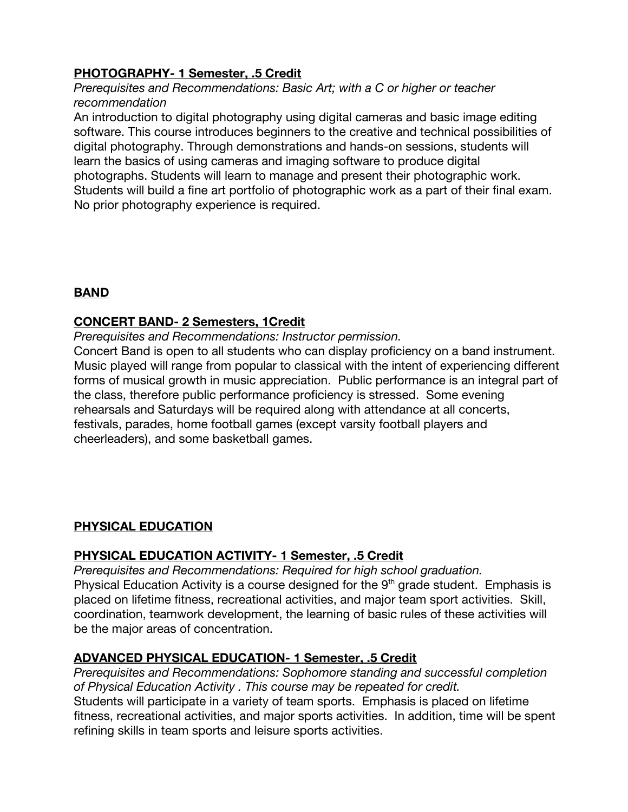# **PHOTOGRAPHY- 1 Semester, .5 Credit**

*Prerequisites and Recommendations: Basic Art; with a C or higher or teacher recommendation*

An introduction to digital photography using digital cameras and basic image editing software. This course introduces beginners to the creative and technical possibilities of digital photography. Through demonstrations and hands-on sessions, students will learn the basics of using cameras and imaging software to produce digital photographs. Students will learn to manage and present their photographic work. Students will build a fine art portfolio of photographic work as a part of their final exam. No prior photography experience is required.

# **BAND**

# **CONCERT BAND- 2 Semesters, 1Credit**

*Prerequisites and Recommendations: Instructor permission.*

Concert Band is open to all students who can display proficiency on a band instrument. Music played will range from popular to classical with the intent of experiencing different forms of musical growth in music appreciation. Public performance is an integral part of the class, therefore public performance proficiency is stressed. Some evening rehearsals and Saturdays will be required along with attendance at all concerts, festivals, parades, home football games (except varsity football players and cheerleaders), and some basketball games.

# **PHYSICAL EDUCATION**

#### **PHYSICAL EDUCATION ACTIVITY- 1 Semester, .5 Credit**

*Prerequisites and Recommendations: Required for high school graduation.* Physical Education Activity is a course designed for the  $9<sup>th</sup>$  grade student. Emphasis is placed on lifetime fitness, recreational activities, and major team sport activities. Skill, coordination, teamwork development, the learning of basic rules of these activities will be the major areas of concentration.

# **ADVANCED PHYSICAL EDUCATION- 1 Semester, .5 Credit**

*Prerequisites and Recommendations: Sophomore standing and successful completion of Physical Education Activity . This course may be repeated for credit.* Students will participate in a variety of team sports. Emphasis is placed on lifetime fitness, recreational activities, and major sports activities. In addition, time will be spent refining skills in team sports and leisure sports activities.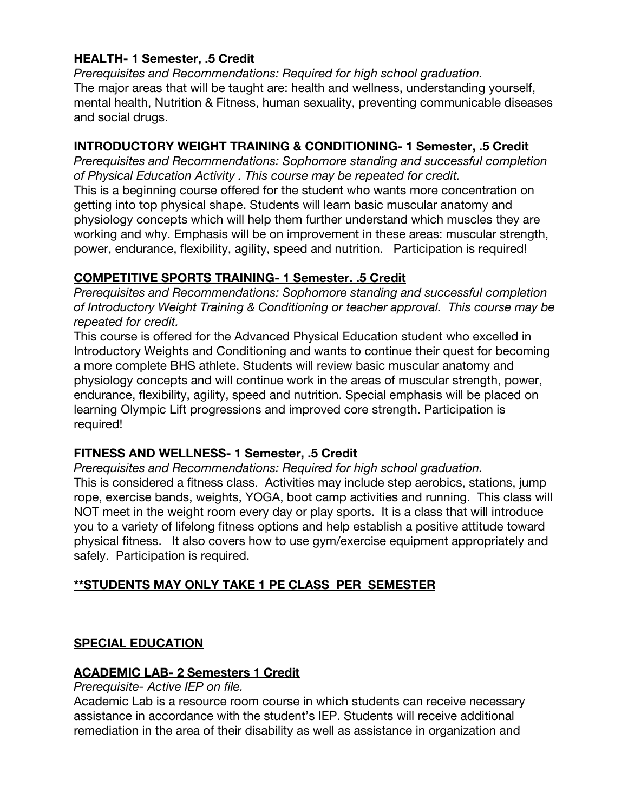# **HEALTH- 1 Semester, .5 Credit**

*Prerequisites and Recommendations: Required for high school graduation.* The major areas that will be taught are: health and wellness, understanding yourself, mental health, Nutrition & Fitness, human sexuality, preventing communicable diseases and social drugs.

# **INTRODUCTORY WEIGHT TRAINING & CONDITIONING- 1 Semester, .5 Credit**

*Prerequisites and Recommendations: Sophomore standing and successful completion of Physical Education Activity . This course may be repeated for credit.* This is a beginning course offered for the student who wants more concentration on getting into top physical shape. Students will learn basic muscular anatomy and physiology concepts which will help them further understand which muscles they are working and why. Emphasis will be on improvement in these areas: muscular strength, power, endurance, flexibility, agility, speed and nutrition. Participation is required!

# **COMPETITIVE SPORTS TRAINING- 1 Semester. .5 Credit**

*Prerequisites and Recommendations: Sophomore standing and successful completion of Introductory Weight Training & Conditioning or teacher approval. This course may be repeated for credit.*

This course is offered for the Advanced Physical Education student who excelled in Introductory Weights and Conditioning and wants to continue their quest for becoming a more complete BHS athlete. Students will review basic muscular anatomy and physiology concepts and will continue work in the areas of muscular strength, power, endurance, flexibility, agility, speed and nutrition. Special emphasis will be placed on learning Olympic Lift progressions and improved core strength. Participation is required!

# **FITNESS AND WELLNESS- 1 Semester, .5 Credit**

*Prerequisites and Recommendations: Required for high school graduation.* This is considered a fitness class. Activities may include step aerobics, stations, jump rope, exercise bands, weights, YOGA, boot camp activities and running. This class will NOT meet in the weight room every day or play sports. It is a class that will introduce you to a variety of lifelong fitness options and help establish a positive attitude toward physical fitness. It also covers how to use gym/exercise equipment appropriately and safely. Participation is required.

# **\*\*STUDENTS MAY ONLY TAKE 1 PE CLASS PER SEMESTER**

# **SPECIAL EDUCATION**

# **ACADEMIC LAB- 2 Semesters 1 Credit**

#### *Prerequisite- Active IEP on file.*

Academic Lab is a resource room course in which students can receive necessary assistance in accordance with the student's IEP. Students will receive additional remediation in the area of their disability as well as assistance in organization and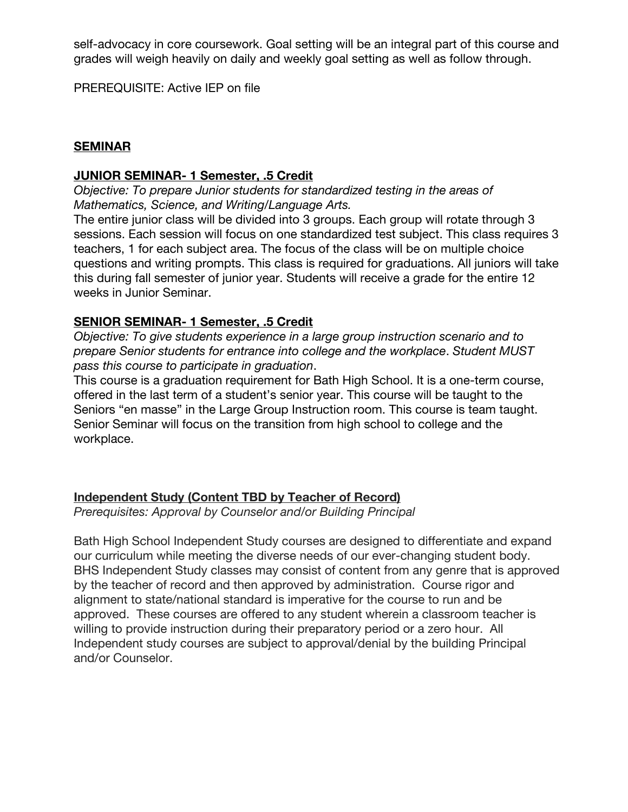self-advocacy in core coursework. Goal setting will be an integral part of this course and grades will weigh heavily on daily and weekly goal setting as well as follow through.

PREREQUISITE: Active IEP on file

#### **SEMINAR**

#### **JUNIOR SEMINAR- 1 Semester, .5 Credit**

*Objective: To prepare Junior students for standardized testing in the areas of Mathematics, Science, and Writing/Language Arts.*

The entire junior class will be divided into 3 groups. Each group will rotate through 3 sessions. Each session will focus on one standardized test subject. This class requires 3 teachers, 1 for each subject area. The focus of the class will be on multiple choice questions and writing prompts. This class is required for graduations. All juniors will take this during fall semester of junior year. Students will receive a grade for the entire 12 weeks in Junior Seminar.

#### **SENIOR SEMINAR- 1 Semester, .5 Credit**

*Objective: To give students experience in a large group instruction scenario and to prepare Senior students for entrance into college and the workplace*. *Student MUST pass this course to participate in graduation*.

This course is a graduation requirement for Bath High School. It is a one-term course, offered in the last term of a student's senior year. This course will be taught to the Seniors "en masse" in the Large Group Instruction room. This course is team taught. Senior Seminar will focus on the transition from high school to college and the workplace.

#### **Independent Study (Content TBD by Teacher of Record)**

*Prerequisites: Approval by Counselor and/or Building Principal*

Bath High School Independent Study courses are designed to differentiate and expand our curriculum while meeting the diverse needs of our ever-changing student body. BHS Independent Study classes may consist of content from any genre that is approved by the teacher of record and then approved by administration. Course rigor and alignment to state/national standard is imperative for the course to run and be approved. These courses are offered to any student wherein a classroom teacher is willing to provide instruction during their preparatory period or a zero hour. All Independent study courses are subject to approval/denial by the building Principal and/or Counselor.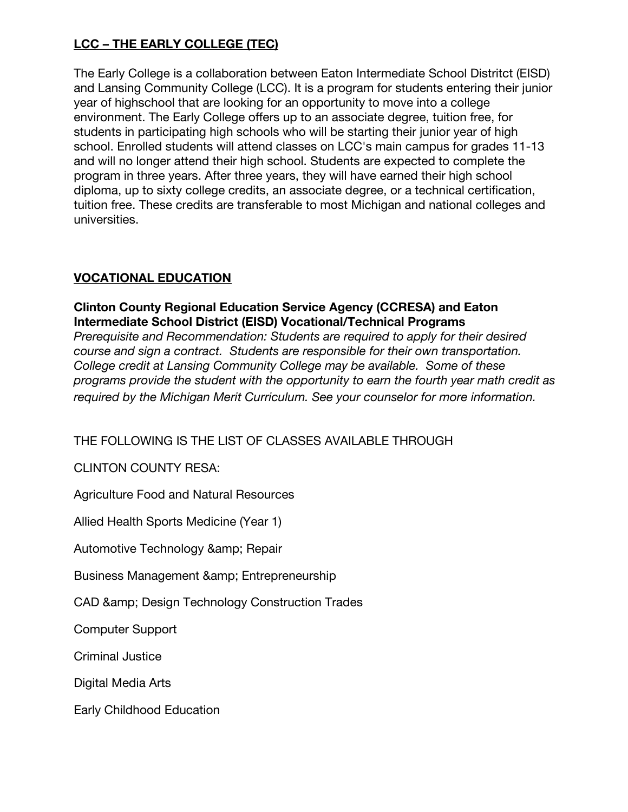# **LCC – THE EARLY COLLEGE (TEC)**

The Early College is a collaboration between Eaton Intermediate School Distritct (EISD) and Lansing Community College (LCC). It is a program for students entering their junior year of highschool that are looking for an opportunity to move into a college environment. The Early College offers up to an associate degree, tuition free, for students in participating high schools who will be starting their junior year of high school. Enrolled students will attend classes on LCC's main campus for grades 11-13 and will no longer attend their high school. Students are expected to complete the program in three years. After three years, they will have earned their high school diploma, up to sixty college credits, an associate degree, or a technical certification, tuition free. These credits are transferable to most Michigan and national colleges and universities.

# **VOCATIONAL EDUCATION**

### **Clinton County Regional Education Service Agency (CCRESA) and Eaton Intermediate School District (EISD) Vocational/Technical Programs**

*Prerequisite and Recommendation: Students are required to apply for their desired course and sign a contract. Students are responsible for their own transportation. College credit at Lansing Community College may be available. Some of these programs provide the student with the opportunity to earn the fourth year math credit as required by the Michigan Merit Curriculum. See your counselor for more information.*

# THE FOLLOWING IS THE LIST OF CLASSES AVAILABLE THROUGH

CLINTON COUNTY RESA:

Agriculture Food and Natural Resources

Allied Health Sports Medicine (Year 1)

Automotive Technology & amp; Repair

Business Management & amp; Entrepreneurship

CAD & amp; Design Technology Construction Trades

Computer Support

Criminal Justice

Digital Media Arts

Early Childhood Education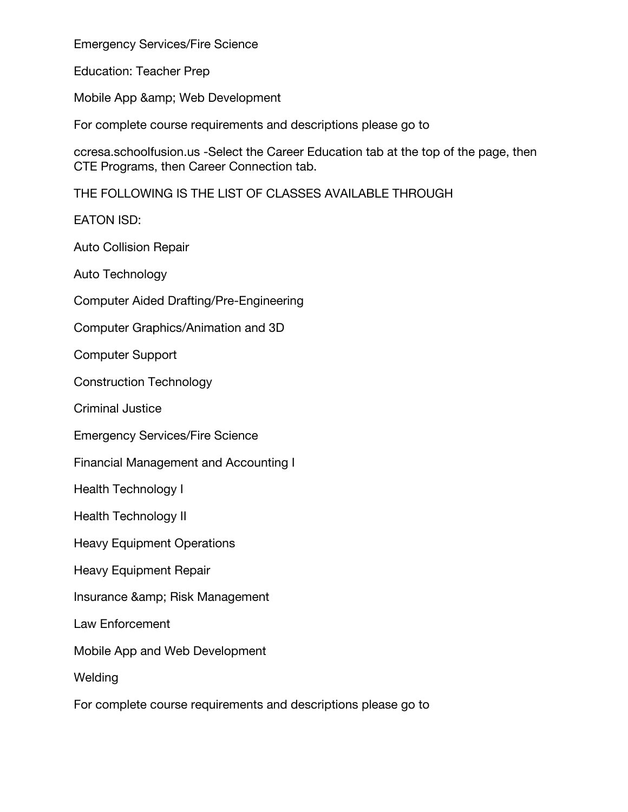Emergency Services/Fire Science

Education: Teacher Prep

Mobile App & amp; Web Development

For complete course requirements and descriptions please go to

ccresa.schoolfusion.us -Select the Career Education tab at the top of the page, then CTE Programs, then Career Connection tab.

THE FOLLOWING IS THE LIST OF CLASSES AVAILABLE THROUGH

EATON ISD:

Auto Collision Repair

Auto Technology

Computer Aided Drafting/Pre-Engineering

Computer Graphics/Animation and 3D

Computer Support

Construction Technology

Criminal Justice

Emergency Services/Fire Science

Financial Management and Accounting I

Health Technology I

Health Technology II

Heavy Equipment Operations

Heavy Equipment Repair

Insurance & amp; Risk Management

Law Enforcement

Mobile App and Web Development

Welding

For complete course requirements and descriptions please go to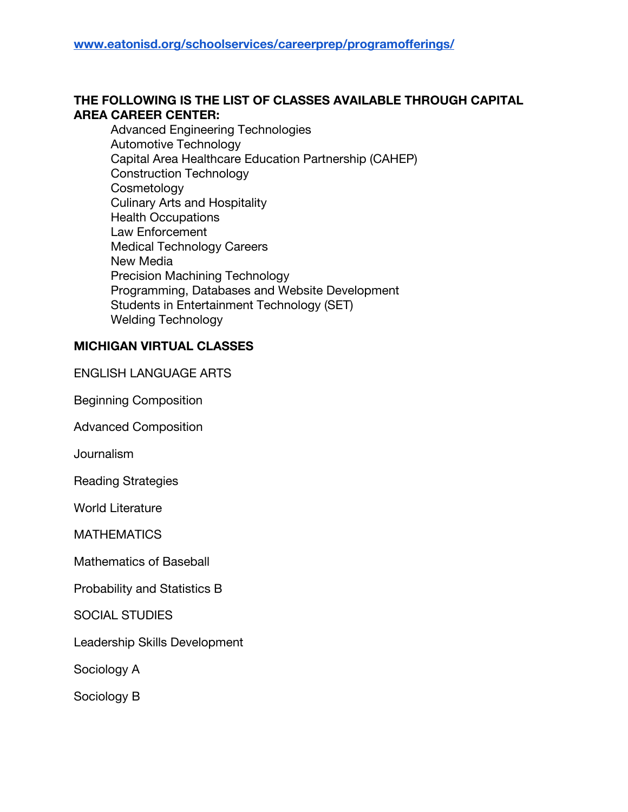# **THE FOLLOWING IS THE LIST OF CLASSES AVAILABLE THROUGH CAPITAL AREA CAREER CENTER:**

Advanced Engineering Technologies Automotive Technology Capital Area Healthcare Education Partnership (CAHEP) Construction Technology **Cosmetology** Culinary Arts and Hospitality Health Occupations Law Enforcement Medical Technology Careers New Media Precision Machining Technology Programming, Databases and Website Development Students in Entertainment Technology (SET) Welding Technology

#### **MICHIGAN VIRTUAL CLASSES**

ENGLISH LANGUAGE ARTS

Beginning Composition

Advanced Composition

**Journalism** 

Reading Strategies

World Literature

**MATHEMATICS** 

Mathematics of Baseball

Probability and Statistics B

SOCIAL STUDIES

Leadership Skills Development

Sociology A

Sociology B